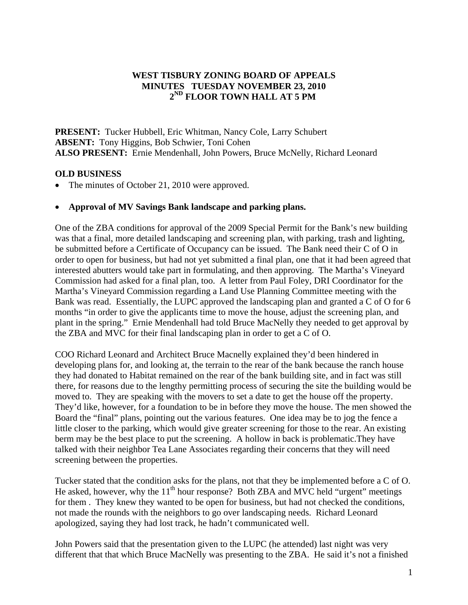## **WEST TISBURY ZONING BOARD OF APPEALS MINUTES TUESDAY NOVEMBER 23, 2010 2ND FLOOR TOWN HALL AT 5 PM**

**PRESENT:** Tucker Hubbell, Eric Whitman, Nancy Cole, Larry Schubert **ABSENT:** Tony Higgins, Bob Schwier, Toni Cohen **ALSO PRESENT:** Ernie Mendenhall, John Powers, Bruce McNelly, Richard Leonard

## **OLD BUSINESS**

• The minutes of October 21, 2010 were approved.

## • **Approval of MV Savings Bank landscape and parking plans.**

One of the ZBA conditions for approval of the 2009 Special Permit for the Bank's new building was that a final, more detailed landscaping and screening plan, with parking, trash and lighting, be submitted before a Certificate of Occupancy can be issued. The Bank need their C of O in order to open for business, but had not yet submitted a final plan, one that it had been agreed that interested abutters would take part in formulating, and then approving. The Martha's Vineyard Commission had asked for a final plan, too. A letter from Paul Foley, DRI Coordinator for the Martha's Vineyard Commission regarding a Land Use Planning Committee meeting with the Bank was read. Essentially, the LUPC approved the landscaping plan and granted a C of O for 6 months "in order to give the applicants time to move the house, adjust the screening plan, and plant in the spring." Ernie Mendenhall had told Bruce MacNelly they needed to get approval by the ZBA and MVC for their final landscaping plan in order to get a C of O.

COO Richard Leonard and Architect Bruce Macnelly explained they'd been hindered in developing plans for, and looking at, the terrain to the rear of the bank because the ranch house they had donated to Habitat remained on the rear of the bank building site, and in fact was still there, for reasons due to the lengthy permitting process of securing the site the building would be moved to. They are speaking with the movers to set a date to get the house off the property. They'd like, however, for a foundation to be in before they move the house. The men showed the Board the "final" plans, pointing out the various features. One idea may be to jog the fence a little closer to the parking, which would give greater screening for those to the rear. An existing berm may be the best place to put the screening. A hollow in back is problematic.They have talked with their neighbor Tea Lane Associates regarding their concerns that they will need screening between the properties.

Tucker stated that the condition asks for the plans, not that they be implemented before a C of O. He asked, however, why the  $11<sup>th</sup>$  hour response? Both ZBA and MVC held "urgent" meetings for them . They knew they wanted to be open for business, but had not checked the conditions, not made the rounds with the neighbors to go over landscaping needs. Richard Leonard apologized, saying they had lost track, he hadn't communicated well.

John Powers said that the presentation given to the LUPC (he attended) last night was very different that that which Bruce MacNelly was presenting to the ZBA. He said it's not a finished